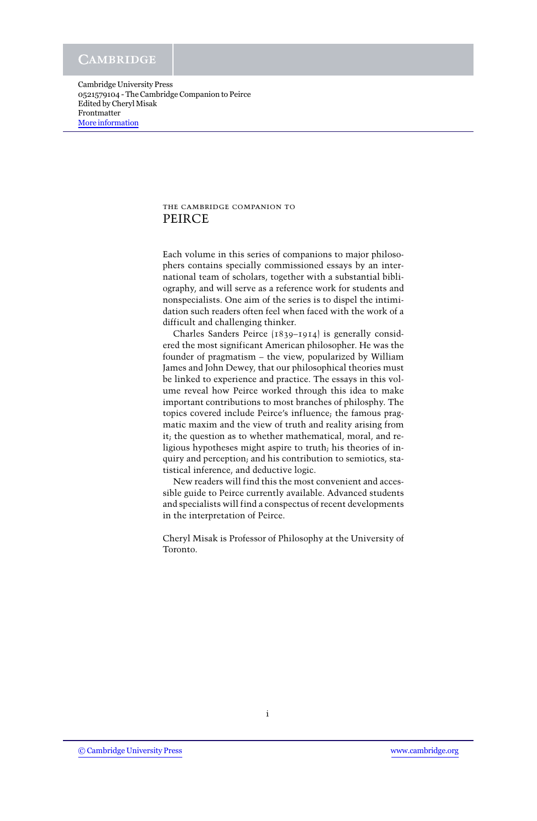## the cambridge companion to PEIRCE

Each volume in this series of companions to major philosophers contains specially commissioned essays by an international team of scholars, together with a substantial bibliography, and will serve as a reference work for students and nonspecialists. One aim of the series is to dispel the intimidation such readers often feel when faced with the work of a difficult and challenging thinker.

Charles Sanders Peirce (1839–1914) is generally considered the most significant American philosopher. He was the founder of pragmatism – the view, popularized by William James and John Dewey, that our philosophical theories must be linked to experience and practice. The essays in this volume reveal how Peirce worked through this idea to make important contributions to most branches of philosphy. The topics covered include Peirce's influence; the famous pragmatic maxim and the view of truth and reality arising from it; the question as to whether mathematical, moral, and religious hypotheses might aspire to truth; his theories of inquiry and perception; and his contribution to semiotics, statistical inference, and deductive logic.

New readers will find this the most convenient and accessible guide to Peirce currently available. Advanced students and specialists will find a conspectus of recent developments in the interpretation of Peirce.

Cheryl Misak is Professor of Philosophy at the University of Toronto.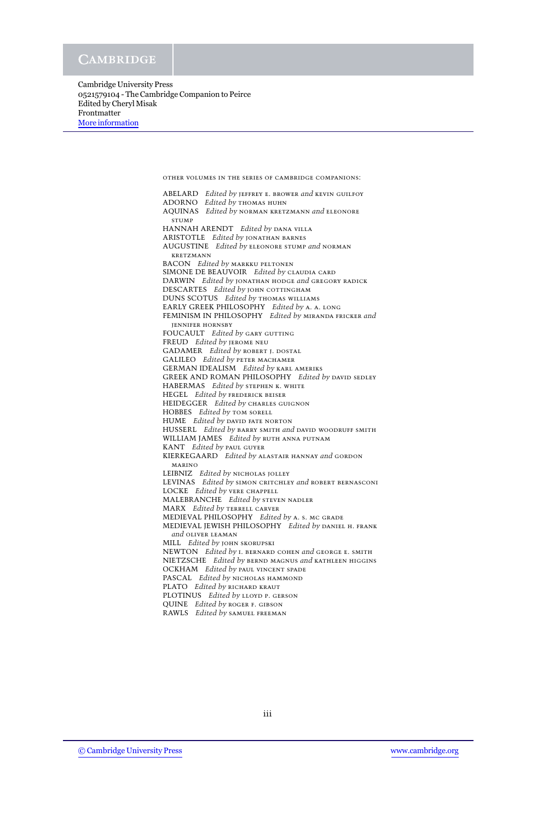> ABELARD *Edited by* jeffrey e. brower *and* kevin guilfoy ADORNO *Edited by* thomas huhn AQUINAS *Edited by* norman kretzmann *and* eleonore **STUMP** HANNAH ARENDT *Edited by* dana villa ARISTOTLE *Edited by* jonathan barnes AUGUSTINE *Edited by* eleonore stump *and* norman kretzmann BACON *Edited by* markku peltonen SIMONE DE BEAUVOIR *Edited by* claudia card DARWIN *Edited by* jonathan hodge *and* gregory radick DESCARTES *Edited by* john cottingham DUNS SCOTUS *Edited by* thomas williams EARLY GREEK PHILOSOPHY *Edited by* a. a. long FEMINISM IN PHILOSOPHY *Edited by* miranda fricker *and* jennifer hornsby FOUCAULT *Edited by* GARY GUTTING FREUD *Edited by* jerome neu GADAMER *Edited by* ROBERT J. DOSTAL GALILEO *Edited by* peter machamer GERMAN IDEALISM *Edited by* karl ameriks GREEK AND ROMAN PHILOSOPHY *Edited by* david sedley HABERMAS *Edited by* stephen k. white HEGEL *Edited by* frederick beiser HEIDEGGER *Edited by* charles guignon HOBBES *Edited by* tom sorell HUME *Edited by* david fate norton HUSSERL *Edited by* barry smith *and* david woodruff smith WILLIAM JAMES *Edited by* ruth anna putnam KANT *Edited by* paul guyer KIERKEGAARD *Edited by* alastair hannay *and* gordon marino LEIBNIZ *Edited by* NICHOLAS JOLLEY LEVINAS *Edited by* simon critchley *and* robert bernasconi LOCKE *Edited by* vere chappell MALEBRANCHE *Edited by* steven nadler MARX *Edited by* terrell carver MEDIEVAL PHILOSOPHY *Edited by* a. s. mc grade MEDIEVAL JEWISH PHILOSOPHY *Edited by* daniel h. frank *and* oliver leaman MILL *Edited by* john skorupski NEWTON *Edited by* i. bernard cohen *and* george e. smith NIETZSCHE *Edited by* bernd magnus *and* kathleen higgins OCKHAM *Edited by* paul vincent spade PASCAL *Edited by* NICHOLAS HAMMOND PLATO *Edited by* RICHARD KRAUT PLOTINUS *Edited by* lloyd p. gerson QUINE *Edited by* roger f. gibson RAWLS *Edited by* samuel freeman

other volumes in the series of cambridge companions: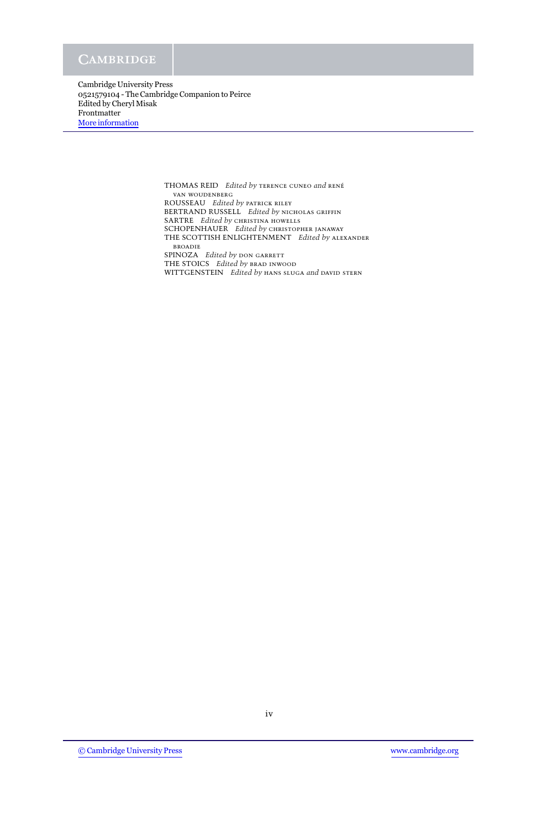> THOMAS REID *Edited by* terence cuneo *and* ren´e van woudenberg ROUSSEAU *Edited by* patrick riley BERTRAND RUSSELL *Edited by* nicholas griffin SARTRE *Edited by* CHRISTINA HOWELLS SCHOPENHAUER *Edited by* christopher janaway THE SCOTTISH ENLIGHTENMENT *Edited by* alexander broadie SPINOZA *Edited by* DON GARRETT THE STOICS *Edited by* brad inwood WITTGENSTEIN *Edited by* hans sluga *and* david stern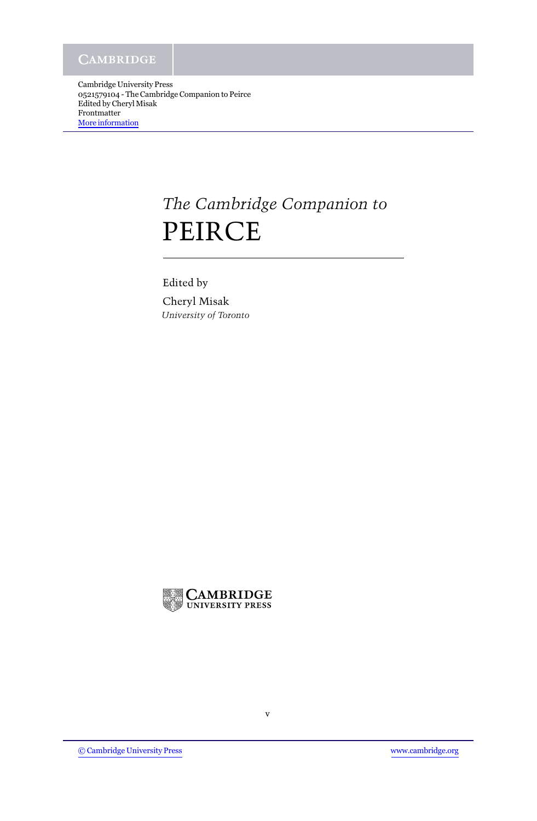# *The Cambridge Companion to* PEIRCE

Edited by Cheryl Misak *University of Toronto*

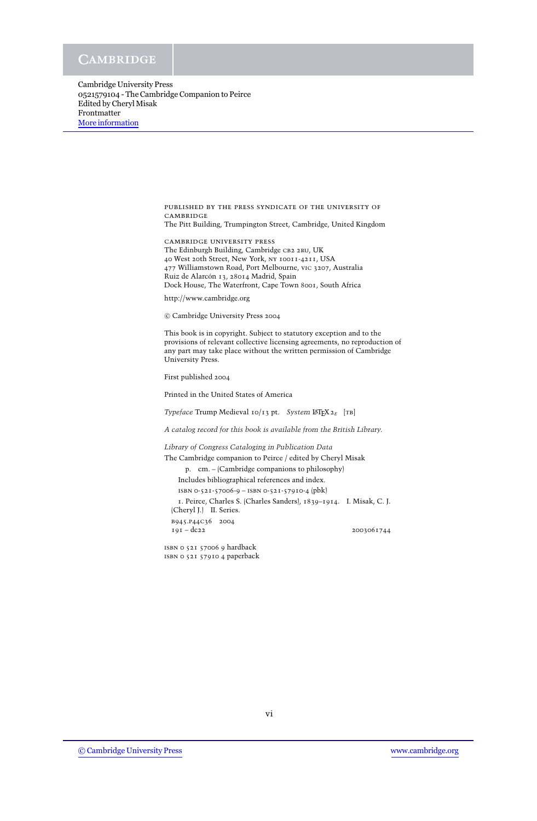> published by the press syndicate of the university of **CAMBRIDGE** The Pitt Building, Trumpington Street, Cambridge, United Kingdom

cambridge university press The Edinburgh Building, Cambridge CB2 2RU, UK 40 West 20th Street, New York, ny 10011-4211, USA 477 Williamstown Road, Port Melbourne, vic 3207, Australia Ruiz de Alarcón 13, 28014 Madrid, Spain Dock House, The Waterfront, Cape Town 8001, South Africa

http://www.cambridge.org

c Cambridge University Press 2004

This book is in copyright. Subject to statutory exception and to the provisions of relevant collective licensing agreements, no reproduction of any part may take place without the written permission of Cambridge University Press.

First published 2004

Printed in the United States of America

*Typeface* Trump Medieval 10/13 pt. *System* LATEX 2ε [tb]

*A catalog record for this book is available from the British Library.*

*Library of Congress Cataloging in Publication Data*

The Cambridge companion to Peirce / edited by Cheryl Misak

p. cm. – (Cambridge companions to philosophy)

Includes bibliographical references and index.

isbn 0-521-57006-9 – isbn 0-521-57910-4 (pbk)

1. Peirce, Charles S. (Charles Sanders), 1839–1914. I. Misak, C. J. (Cheryl J.) II. Series.

b945.p44c36 2004 191 – dc22 2003061744

isbn 0 521 57006 9 hardback isbn 0 521 57910 4 paperback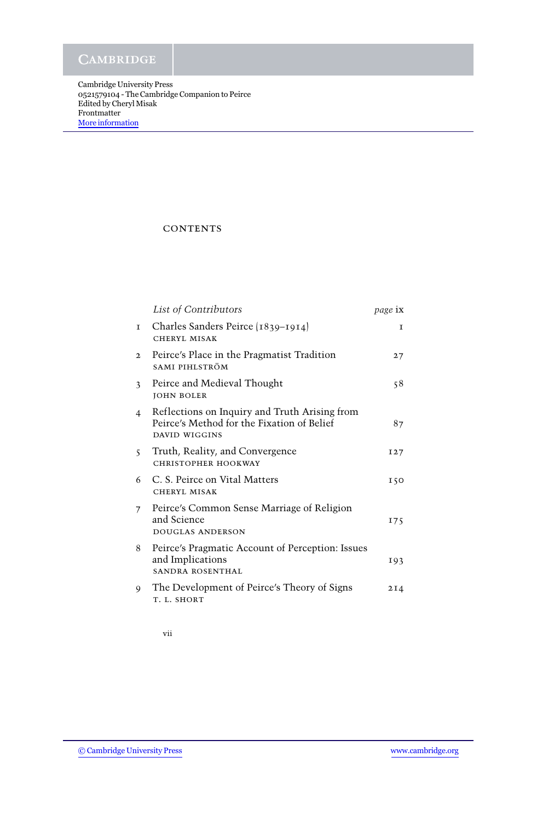## **CONTENTS**

|                          | List of Contributors                                                                                         | <i>page</i> ix |
|--------------------------|--------------------------------------------------------------------------------------------------------------|----------------|
| $\mathbf I$              | Charles Sanders Peirce (1839-1914)<br>CHERYL MISAK                                                           | $\mathbf{I}$   |
| $\mathbf{2}$             | Peirce's Place in the Pragmatist Tradition<br>SAMI PIHLSTRÖM                                                 | 27             |
| $\overline{\mathcal{L}}$ | Peirce and Medieval Thought<br><b>JOHN BOLER</b>                                                             | 58             |
| 4                        | Reflections on Inquiry and Truth Arising from<br>Peirce's Method for the Fixation of Belief<br>DAVID WIGGINS | 87             |
| $\overline{\mathsf{S}}$  | Truth, Reality, and Convergence<br>CHRISTOPHER HOOKWAY                                                       | I27            |
| 6                        | C. S. Peirce on Vital Matters<br>CHERYL MISAK                                                                | 150            |
| $\overline{7}$           | Peirce's Common Sense Marriage of Religion<br>and Science<br>DOUGLAS ANDERSON                                | 175            |
| 8                        | Peirce's Pragmatic Account of Perception: Issues<br>and Implications<br>SANDRA ROSENTHAL                     | 193            |
| 9                        | The Development of Peirce's Theory of Signs<br>T. L. SHORT                                                   | 2I4            |
|                          |                                                                                                              |                |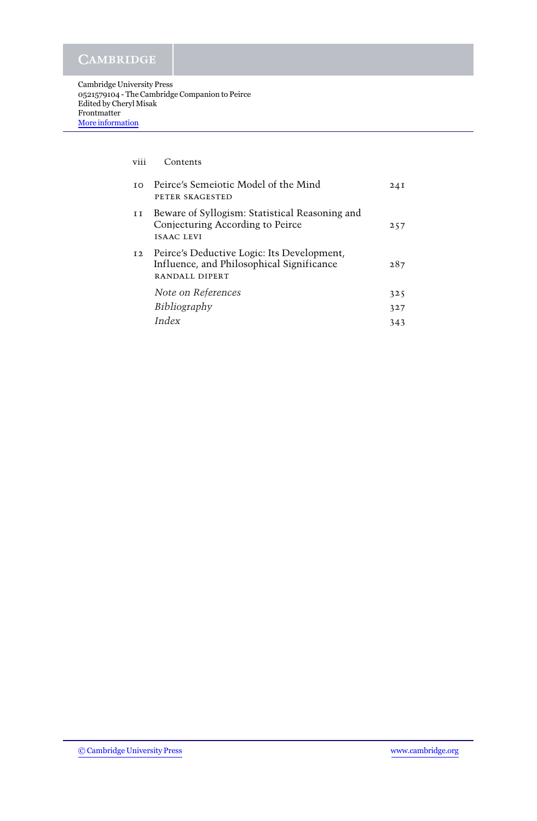| viii           | Contents                                                                                                  |      |
|----------------|-----------------------------------------------------------------------------------------------------------|------|
| T <sub>O</sub> | Peirce's Semeiotic Model of the Mind<br>PETER SKAGESTED                                                   | 24 I |
| ΙI             | Beware of Syllogism: Statistical Reasoning and<br>Conjecturing According to Peirce<br><b>ISAAC LEVI</b>   | 257  |
| I <sub>2</sub> | Peirce's Deductive Logic: Its Development,<br>Influence, and Philosophical Significance<br>RANDALL DIPERT | 287  |
|                | Note on References                                                                                        | 325  |
|                | Bibliography                                                                                              | 327  |
|                | Index                                                                                                     | 343  |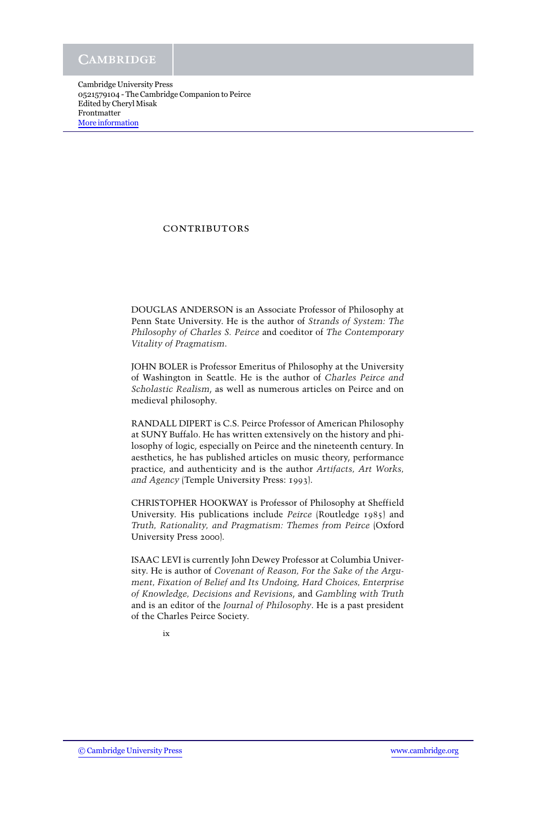### **CONTRIBUTORS**

DOUGLAS ANDERSON is an Associate Professor of Philosophy at Penn State University. He is the author of *Strands of System: The Philosophy of Charles S. Peirce* and coeditor of *The Contemporary Vitality of Pragmatism*.

JOHN BOLER is Professor Emeritus of Philosophy at the University of Washington in Seattle. He is the author of *Charles Peirce and Scholastic Realism*, as well as numerous articles on Peirce and on medieval philosophy.

RANDALL DIPERT is C.S. Peirce Professor of American Philosophy at SUNY Buffalo. He has written extensively on the history and philosophy of logic, especially on Peirce and the nineteenth century. In aesthetics, he has published articles on music theory, performance practice, and authenticity and is the author *Artifacts, Art Works, and Agency* (Temple University Press: 1993).

CHRISTOPHER HOOKWAY is Professor of Philosophy at Sheffield University. His publications include *Peirce* (Routledge 1985) and *Truth, Rationality, and Pragmatism: Themes from Peirce* (Oxford University Press 2000).

ISAAC LEVI is currently John Dewey Professor at Columbia University. He is author of *Covenant of Reason, For the Sake of the Argument, Fixation of Belief and Its Undoing, Hard Choices, Enterprise of Knowledge, Decisions and Revisions*, and *Gambling with Truth* and is an editor of the *Journal of Philosophy*. He is a past president of the Charles Peirce Society.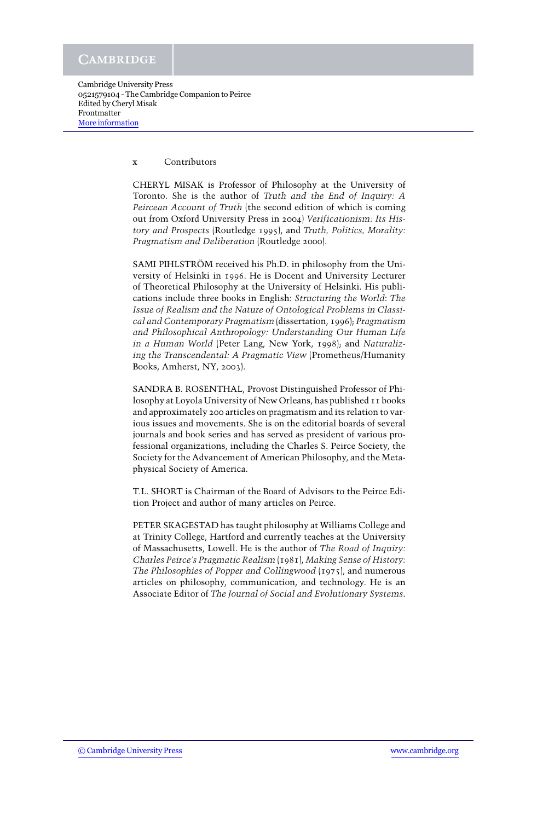#### x Contributors

CHERYL MISAK is Professor of Philosophy at the University of Toronto. She is the author of *Truth and the End of Inquiry: A Peircean Account of Truth* (the second edition of which is coming out from Oxford University Press in 2004) *Verificationism: Its History and Prospects* (Routledge 1995), and *Truth, Politics, Morality: Pragmatism and Deliberation* (Routledge 2000).

SAMI PIHLSTRÖM received his Ph.D. in philosophy from the University of Helsinki in 1996. He is Docent and University Lecturer of Theoretical Philosophy at the University of Helsinki. His publications include three books in English: *Structuring the World*: *The Issue of Realism and the Nature of Ontological Problems in Classical and Contemporary Pragmatism* (dissertation, 1996); *Pragmatism and Philosophical Anthropology: Understanding Our Human Life in a Human World* (Peter Lang, New York, 1998); and *Naturalizing the Transcendental: A Pragmatic View* (Prometheus/Humanity Books, Amherst, NY, 2003).

SANDRA B. ROSENTHAL, Provost Distinguished Professor of Philosophy at Loyola University of New Orleans, has published 11 books and approximately 200 articles on pragmatism and its relation to various issues and movements. She is on the editorial boards of several journals and book series and has served as president of various professional organizations, including the Charles S. Peirce Society, the Society for the Advancement of American Philosophy, and the Metaphysical Society of America.

T.L. SHORT is Chairman of the Board of Advisors to the Peirce Edition Project and author of many articles on Peirce.

PETER SKAGESTAD has taught philosophy at Williams College and at Trinity College, Hartford and currently teaches at the University of Massachusetts, Lowell. He is the author of *The Road of Inquiry: Charles Peirce's Pragmatic Realism* (1981), *Making Sense of History: The Philosophies of Popper and Collingwood* (1975), and numerous articles on philosophy, communication, and technology. He is an Associate Editor of *The Journal of Social and Evolutionary Systems*.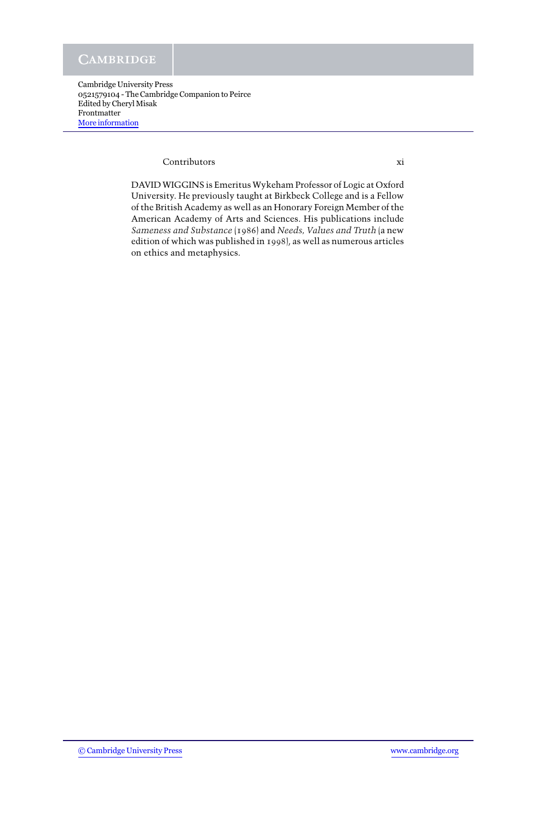#### Contributors xi

DAVID WIGGINS is Emeritus Wykeham Professor of Logic at Oxford University. He previously taught at Birkbeck College and is a Fellow of the British Academy as well as an Honorary Foreign Member of the American Academy of Arts and Sciences. His publications include *Sameness and Substance* (1986) and *Needs, Values and Truth* (a new edition of which was published in 1998), as well as numerous articles on ethics and metaphysics.